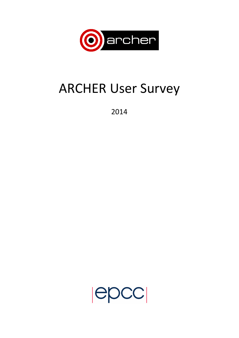

# **ARCHER User Survey**

2014

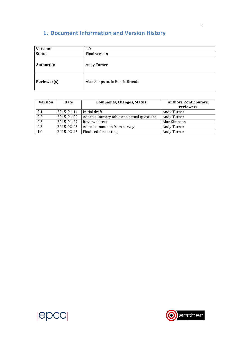## **1. Document Information and Version History**

| Version:      | 1.0                           |  |  |
|---------------|-------------------------------|--|--|
| <b>Status</b> | Final version                 |  |  |
| Author(s):    | Andy Turner                   |  |  |
| Reviewer(s)   | Alan Simpson, Jo Beech-Brandt |  |  |

| <b>Version</b>   | Date       | <b>Comments, Changes, Status</b>         | Authors, contributors,<br>reviewers |
|------------------|------------|------------------------------------------|-------------------------------------|
| 0.1              | 2015-01-14 | Initial draft                            | Andy Turner                         |
| 0.2              | 2015-01-29 | Added summary table and actual questions | Andy Turner                         |
| 0.3              | 2015-01-27 | Reviewed text                            | Alan Simpson                        |
| $\overline{0.3}$ | 2015-02-05 | Added comments from survey               | Andy Turner                         |
| 1.0              | 2015-02-25 | <b>Finalised formatting</b>              | Andy Turner                         |



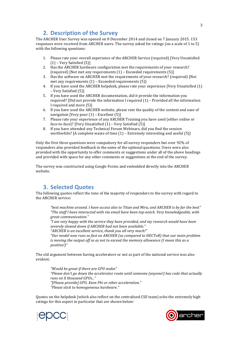## **2. Description of the Survey**

The ARCHER User Survey was opened on 8 December 2014 and closed on 7 January 2015, 153 responses were received from ARCHER users. The survey asked for ratings (on a scale of 1 to 5) with the following questions:

- 1. Please rate your overall experience of the ARCHER Service (required) [Very Unsatisfied  $(1)$  – Very Satisfied  $(5)$ ]
- 2. Has the ARCHER hardware configuration met the requirements of your research? (required) [Not met any requirements  $(1)$  – Exceeded requirements  $(5)$ ]
- 3. Has the software on ARCHER met the requirements of your research? (required) [Not met any requirements  $(1)$  – Exceeded requirements  $(5)$ ]
- 4. If you have used the ARCHER helpdesk, please rate your experience [Very Unsatisfied (1) – Very Satisfied (5)]
- 5. If you have used the ARCHER documentation, did it provide the information you required? [Did not provide the information I required  $(1)$  – Provided all the information I required and more (5)]
- 6. If you have used the ARCHER website, please rate the quality of the content and ease of navigation [Very poor  $(1)$  – Excellent  $(5)$ ]
- 7. Please rate your experience of any ARCHER Training you have used (either online or face-to-face)? [Very Unsatisfied  $(1)$  – Very Satisfied  $(5)$ ]
- 8. If you have attended any Technical Forum Webinars, did you find the session worthwhile? [A complete waste of time  $(1)$  – Extremely interesting and useful  $(5)$ ]

Only the first three questions were compulsory for all survey responders but over 92% of responders also provided feedback in the some of the optional questions. Users were also provided with the opportunity to offer comments or suggestions under all of the above headings and provided with space for any other comments or suggestions at the end of the survey.

The survey was constructed using Google Forms and embedded directly into the ARCHER website.

## **3. Selected Quotes**

The following quotes reflect the tone of the majority of responders to the survey with regard to the ARCHER service:

"best machine around. I have access also to Titan and Mira, and ARCHER is by far the best" *"The staff I have interacted with via email have been top-notch. Very knowledgeable, with great communication."*

"I am very happy with the service they have provided, and my research would have been *severely slowed down if ARCHER had not been available."*

"ARCHER is an excellent service, thank you all very much!"

"Our model now runs so fast on ARCHER (as compared to HECToR) that our main problem *is* moving the output off so as not to exceed the memory allowance (I mean this as a *positive!)"*

The old argument between having accelerators or not as part of the national service was also evident:

*"Would be great if there are GPU nodes"* "Please don't go down the accelerator route until someone (anyone!) has code that actually *runs on X thousand GPUs..." "[Please provide] GPU, Xeon Phi or other acceleration." "Please stick to homogeneous hardware."*

Quotes on the helpdesk (which also reflect on the centralised CSE team) echo the extremely high ratings for this aspect in particular that are shown below:



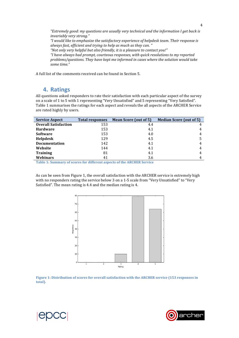*"Extremely good: my questions are usually very technical and the information I get back is invariably very strong."* "I would like to emphasize the satisfactory experience of helpdesk team. Their response is always fast, efficient and trying to help as much as they can. " "Not only very helpful but also friendly, it is a pleasure to contact you!" *"I have always had prompt, courteous responses, with quick resolutions to my reported problems/questions. They have kept me informed in cases where the solution would take some time."*

A full list of the comments received can be found in Section 5.

#### **4. Ratings**

All questions asked responders to rate their satisfaction with each particular aspect of the survey on a scale of 1 to 5 with 1 representing "Very Unsatisfied" and 5 representing "Very Satisfied". Table 1 summarises the ratings for each aspect and reveals the all aspects of the ARCHER Service are rated highly by users.

| <b>Service Aspect</b>       | <b>Total responses</b> | <b>Mean Score (out of 5)</b> | <b>Median Score (out of 5)</b> |
|-----------------------------|------------------------|------------------------------|--------------------------------|
| <b>Overall Satisfaction</b> | 153                    | 4.4                          |                                |
| <b>Hardware</b>             | 153                    | 4.1                          | 4                              |
| <b>Software</b>             | 153                    | 4.0                          | 4                              |
| <b>Helpdesk</b>             | 129                    | 4.5                          |                                |
| <b>Documentation</b>        | 142                    | 4.1                          | 4                              |
| Website                     | 144                    | 4.1                          | 4                              |
| <b>Training</b>             | 81                     | 4.1                          | 4                              |
| Webinars                    | 41                     | 3.6                          |                                |

Table 1: Summary of scores for different aspects of the **ARCHER** Service

As can be seen from Figure 1, the overall satisfaction with the ARCHER service is extremely high with no responders rating the service below 3 on a  $1-5$  scale from "Very Unsatisfied" to "Very Satisfied". The mean rating is 4.4 and the median rating is 4.







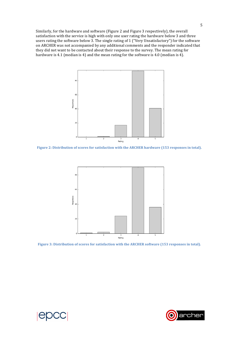Similarly, for the hardware and software (Figure 2 and Figure 3 respectively), the overall satisfaction with the service is high with only one user rating the hardware below 3 and three users rating the software below 3. The single rating of 1 ("Very Unsatisfactory") for the software on ARCHER was not accompanied by any additional comments and the responder indicated that they did not want to be contacted about their response to the survey. The mean rating for hardware is 4.1 (median is 4) and the mean rating for the software is 4.0 (median is 4).



Figure 2: Distribution of scores for satisfaction with the ARCHER hardware (153 responses in total).



Figure 3: Distribution of scores for satisfaction with the ARCHER software (153 responses in total).





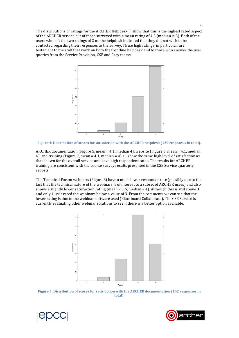The distributions of ratings for the ARCHER Helpdesk  $( )$  show that this is the highest rated aspect of the ARCHER service out of those surveyed with a mean rating of 4.5 (median is 5). Both of the users who left the two ratings of 2 on the helpdesk indicated that they did not wish to be contacted regarding their responses to the survey. These high ratings, in particular, are testament to the staff that work on both the frontline helpdesk and to those who answer the user queries from the Service Provision, CSE and Cray teams.



Figure 4: Distribution of scores for satisfaction with the ARCHER helpdesk (129 responses in total).

ARCHER documentation (Figure 5, mean = 4.1, median 4), website (Figure 6, mean = 4.1, median 4), and training (Figure 7, mean =  $4.1$ , median =  $4$ ) all show the same high level of satisfaction as that shown for the overall service and have high respondent rates. The results for ARCHER training are consistent with the course survey results presented in the CSE Service quarterly reports.

The Technical Forum webinars (Figure 8) have a much lower responder rate (possibly due to the fact that the technical nature of the webinars is of interest to a subset of ARCHER users) and also shows a slightly lower satisfaction rating (mean =  $3.6$ , median =  $4$ ). Although this is still above  $3$ and only 1 user rated the webinars below a value of 3. From the comments we can see that the lower rating is due to the webinar software used (Blackboard Collaborate). The CSE Service is currently evaluating other webinar solutions to see if there is a better option available.



Figure 5: Distribution of scores for satisfaction with the ARCHER documentation (142 responses in **total).**

6



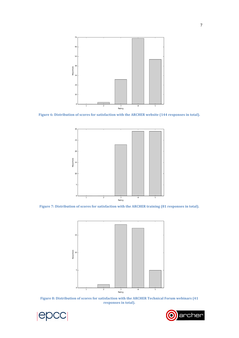

Figure 6: Distribution of scores for satisfaction with the ARCHER website (144 responses in total).







Figure 8: Distribution of scores for satisfaction with the ARCHER Technical Forum webinars (41 responses in total).



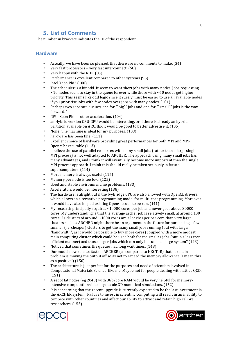### **5. List of Comments**

The number in brackets indicates the ID of the respondent.

#### **Hardware**

- Actually, we have been so pleased, that there are no comments to make. (34)
- Very fast processors + very fast interconnect.  $(58)$ <br>• Very happy with the PDE  $(83)$
- Very happy with the RDF. (83)
- Performance is excellent compared to other systems (96)
- Intel Xeon Phi! (100)
- The scheduler is a bit odd. It seem to want short jobs with many nodes. Jobs requesting  $\sim$ 10 nodes seem to stay in the queue forever while those with  $\sim$ 50 nodes get higher priority. This seems like odd logic since it surely must be easier to use all available nodes if you prioritise jobs with few nodes over jobs with many nodes.  $(101)$
- Perhaps two separate queues, one for ""big"" jobs and one for ""small"" jobs is the way forward."
- GPU, Xeon Phi or other acceleration. (104)
- an Hybrid version CPU-GPU would be interesting, or if there is already an hybrid partition available on ARCHER it would be good to better advertise it. (105)
- None. The machine is ideal for my purposes. (108)
- hardware has been fine. (111)
- Excellent choice of hardware providing great performances for both MPI and MPI-OpenMP executable (113)
- I believe the use of parallel resources with many small jobs (rather than a large single MPI process) is not well adapted to ARCHER. The approach using many small jobs has many advantages, and I think it will eventually become more important than the single MPI process approach. I think this should really be taken seriously in future supercomputers. (114)
- More memory is always useful  $(115)$
- Memory per node is too low; (125)
- Good and stable environment, no problems. (133)
- Accelerators would be interesting (138)
- The hardware is alright but if the IvyBridge CPU are also allowed with OpenCL drivers, which allows an alternative programming model for multi-core programming. Moreover it would have also helped existing OpenCL code to be run. (141)
- My research principally requires <10000 cores per job and never goes above 30000 cores. My understanding is that the average archer job is relatively small, at around 100 cores. As clusters of around  $\sim$ 1000 cores are a lot cheaper per core than very large clusters such as ARCHER might there be an argument in the future for purchasing a few smaller (i.e. cheaper) clusters to get the many small jobs running (but with larger "bandwidth", as it would be possible to buy more cores) coupled with a more modest main computing cluster which could be used both for the smaller jobs (but in a less cost efficient manner) and those larger jobs which can only be run on a large system? (143)
- Noticed that sometimes the queues had long wait times.  $(148)$
- Our model now runs so fast on ARCHER (as compared to HECToR) that our main problem is moving the output off so as not to exceed the memory allowance (I mean this as a positive! $(150)$
- The architecture is just perfect for the purposes and need of scientists involved in Computational Materials Science, like me. Maybe not for people dealing with lattice QCD. (151)
- A set of fat nodes (eg 2048) with 8Gb/core RAM would be very helpful for memoryintensive computations like large-scale 3D numerical simulations. (152)
- It is concerning that the recent upgrade is currently expected to be the last investment in the ARCHER system. Failure to invest in scientific computing will result in an inability to compete with other countries and affect our ability to attract and retain high calibre researchers. (153)



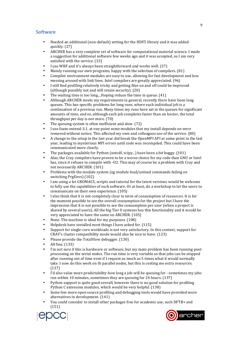#### **Software**

- Needed an additional (non-default) setting for the HDF5 library and it was added quickly. (27)
- ARCHER has a very complete set of software for computational material science. I made a suggestion for additional software few weeks ago and it was accepted, so I am very satisfied with the service. (33)
- I use WRF and it's always been straightforward and works well. (37)
- Mainly running our own programs, happy with the selection of compilers.  $(81)$
- Compiler environment modules are easy to use, allowing for fast development and less messing around with link lines. Intel compilers are greatly appreciated.  $(96)$
- I still find profiling relatively tricky and getting files on and off could be improved (although possibly not and still retain security).  $(20)$
- The waiting time is too long....Hoping reduce the time in queue.  $(41)$
- Although ARCHER meets my requirements in general, recently there have been long queues. This has specific problems for long runs, where each individual job is a continuation of a previous run. Many times my runs have sat in the queues for significant amounts of time, and so, although each job completes faster than on hector, the total throughput per day is not more.  $(70)$
- The queuing system is often inefficient and slow.  $(72)$
- I use foam-extend-3.1, at one point some modules that my install depends on were removed without notice. This affected my own and colleagues use of the service. (80)
- A change to the setup in the last year did break the OpenMPI API at some point in the last year, leading to mysterious MPI errors until code was recompiled. This could have been communicated more clearly.
- The packages available for Python (netcdf, scipy...) have been a bit buggy. (101)
- Also, the Cray compilers have proven to be a worse choice for my code than GNU or Intel has, since it refuses to compile with -O2. This may of course be a problem with Cray and not necessarily ARCHER. (101)
- Problems with the module system (eg module load/unload commands failing on switching PrgEnvs) (102)
- I am using a lot GROMACS, scripts and tutorial for the latest versions would be welcome to fully use the capabilities of such software. Or at least, do a workshop to let the users to communicate on their own experience. (105)
- I also think that it is not completely clear in term of consumption of resources. It is for the moment possible to see the overall consumption for the project but I have the impression that it is not possible to see the consumption per user (when a project is shared by several users). All the big Tier 0 systems has this functionality and it would be very appreciated to have the same on ARCHER. (105)
- None. The machine is ideal for my purposes. (108)
- Helpdesk have installed most things I have asked for.  $(115)$
- Support for single-core workloads is not very satisfactory. In this context, support for  $CRAY's cluster compatibility mode would also be nice to have. (123)$
- Please provide the TotalView debugger. (130)
- All fine. (133)
- I'm not sure if this is hardware or software, but my main problem has been running postprocessing on the serial nodes. The run time is very variable so that jobs can be stopped after running out of time even if I request as much as 5 times what it would normally take. I now do this work on th parallel nodes, but this is costing me extra resources. (137)
- I'd also value more predictability how long a job will be queuing for sometimes my jobs run within 10 minutes, sometimes they are queuing for 24 hours. (137)
- Python support is quite good overall, however there is no good solution for profiling Python C extension modules, which would be very helpful. (138)
- Some few more open source profiling and debugging tools would have provided more alternatives in development. (141)
- You could consider to install other packages free for academic use, such DFTB+ and (151)



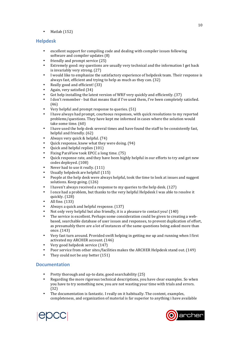• Matlab (152)

#### **Helpdesk**

- excellent support for compiling code and dealing with compiler issues following software and compiler updates (8)
- friendly and prompt service (25)
- Extremely good: my questions are usually very technical and the information I get back is invariably very strong.  $(27)$
- I would like to emphasize the satisfactory experience of helpdesk team. Their response is always fast, efficient and trying to help as much as they can.  $(32)$
- Really good and efficient! (33)
- Again, very satisfied (34)
- Got help installing the latest version of WRF very quickly and efficiently.  $(37)$
- I don't remember but that means that if I've used them, I've been completely satisfied. (46)
- Very helpful and prompt response to queries. (51)
- I have always had prompt, courteous responses, with quick resolutions to my reported problems/questions. They have kept me informed in cases where the solution would take some time. (60)
- I have used the help desk several times and have found the staff to be consistently fast, helpful and friendly. (62)
- Always very quick  $&$  helpful.  $(74)$
- Quick response, knew what they were doing. (94)
- Quick and helpful replies (101)
- Fixing ParaView took EPCC a long time. (75)
- Quick response rate, and they have been highly helpful in our efforts to try and get new codes deployed. (108)
- Never had to use it really. (111)
- Usually helpdesk are helpful!  $(115)$ <br>• People at the help desk were always
- People at the help desk were always helpful, took the time to look at issues and suggest solutions. Keep going. (126)
- I haven't always received a response to my queries to the help desk. (127)
- I once had a problem, but thanks to the very helpful Helpdesk I was able to resolve it quickly. (128)
- All fine. (133)
- Always a quick and helpful response. (137)
- Not only very helpful but also friendly, it is a pleasure to contact you! (140)
- The service is excellent. Perhaps some consideration could be given to creating a webbased, searchable database of user issues and responses, to prevent duplication of effort, as presumably there are a lot of instances of the same questions being asked more than once. (143)
- Very fast turn around. Provided swift helping in getting me up and running when I first activated my ARCHER account. (146)
- Very good helpdesk service (147)
- Poor service from other sites/facilities makes the ARCHER Helpdesk stand out. (149)
- They could not be any better  $(151)$

#### **Documentation**

- Pretty thorough and up-to date, good searchability (25)
- Regarding the more rigorous technical descriptions, you have clear examples. So when you have to try something new, you are not wasting your time with trials and errors. (32)
- The documentation is fantastic. I really on it habitually. The content, examples, completeness, and organization of material is far superior to anything i have available



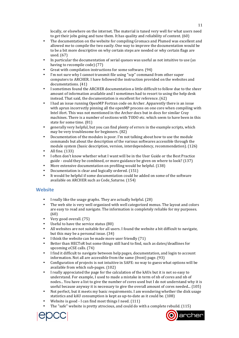locally, or elsewhere on the internet. The material is tuned very well for what users need to get their jobs going and tune them. It has quality and reliability of content.  $(60)$ 

- The documentation on the website for compiling Gromacs and Plumed was excellent and allowed me to compile the two easily. One way to improve the documentation would be to be a bit more descriptive on why certain steps are needed or why certain flags are used.  $(67)$
- In particular the documentation of serial queues was useful as not intuitive to use (as having to recompile code) (77)
- Great with compilation instructions for some software. (94)
- I'm not sure why I cannot transmit file using "scp" command from other super computers to ARCHER. I have followed the instruction provided on the websites and documentations. (41)
- I sometimes found the ARCHER documentation a little difficult to follow due to the sheer amount of information available and I sometimes had to resort to using the help desk instead. That said, the documentation is excellent for reference.  $(62)$
- I had an issue running OpenMP Fortran code on Archer. Apparently there is an issue with aprun incorrectly pinning all the openMP process on one core when compiling with Intel ifort. This was not mentioned in the Archer docs but in docs for similar Cray machines. There is a number of sections with TODO etc. which seem to have been in this state for some time. (81)
- generally very helpful, but you can find plenty of errors in the example scripts, which may be very troublesome for beginners. (82)
- Documentation of the modules is poor. I'm not talking about how to use the module commands but about the description of the various softwares accessible through the module system (basic description, version, interdependency, recommendation). (126)
- All fine. (133)
- I often don't know whether what I want will be in the User Guide or the Best Practice guide - could they be combined, or more guidance be given on where to look? (137)
- More extensive documentation on profiling would be helpful. (138)
- Documentation is clear and logically ordered. (151)
- It would be helpful if some documentation could be added on some of the software available on ARCHER such as Code\_Saturne. (154)

#### **Website**

- I really like the usage graphs. They are actually helpful. (28)
- The web site is very well organized with well categorized menus. The layout and colors are easy to read and navigate. The information is completely reliable for my purposes. (60)
- Very good overall. (75)
- Useful to have the service status  $(80)$
- All websites are not suitable for all users. I found the website a bit difficult to navigate, but this may be a personal issue.  $(34)$
- I think the website can be made more user friendly  $(71)$
- Better than HECToR but some things still hard to find, such as dates/deadlines for upcoming eCSE calls. (74)
- I find it difficult to navigate between help pages, documentation, and login to account information. Not all are accessible from the same (front) page. (93)
- Configuration of projects is not intuitive in SAFE: no way to guess what options will be available from which sub-pages. (102)
- I really appreciated the page for the calculation of the kAUs but it is not so easy to understand. For example, I used to made a mistake in term of nb of cores and nb of nodes... You have a list to give the number of cores used but I do not understand why it is useful because anyway it is necessary to give the overall amount of cores needed... (105)
- Not perfect, but it meets my basic requirements. I am wondering whether the disk usage statistics and kAU consumption is kept as up-to-date as it could be. (108)
- Website is good I can find most things I need. (111)
- The "safe" website is pretty atrocious, and could do with a complete rebuild.  $(115)$



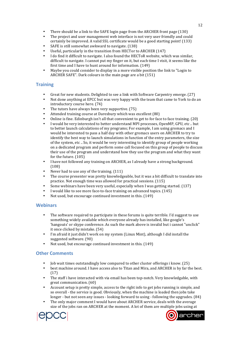- There should be a link to the SAFE login page from the ARCHER front page (130)
- The project and user management web interface is not very user friendly and could certainly be improved. A valid SSL certificate would be a good starting point! (133)
- SAFE is still somewhat awkward to navigate. (138)
- Useful, particularly in the transition from HECTor to ARCHER  $(147)$
- I do find it difficult to navigate. I also found the HECToR website, which was similar, difficult to navigate. I cannot put my finger on it, but each time I visit, it seems like the first time and I have to hunt around for information.  $(149)$
- Maybe you could consider to display in a more visible position the link to "Login to ARCHER SAFE". Dark colours in the main page are a bit  $(151)$

#### **Training**

- Great for new students. Delighted to see a link with Software Carpentry emerge.  $(27)$
- Not done anything at EPCC but was very happy with the team that came to York to do an introductory course here. (74)
- The tutors have always been very supportive. (75)
- Attended training course at Daresbury which was excellent (80)
- Online is fine. Edinburgh isn't all that convenient to get to for face to face training. (20)
- I would be very interested to better understand MPI processes, OpenMP, GPU, etc .. but to better launch calculations of my programs; For example, I am using gromacs and I would be interested to pass a half day with other gromacs users on ARCHER to try to identify the best way to launch simulations in function of the entry parameters, the size of the system, etc .. So, it would be very interesting to identify group of people working on a dedicated program and perform some call focused on this group of people to discuss their use of the program and understand how they use the program and what they want for the future.  $(105)$
- I have not followed any training on ARCHER, as I already have a strong background. (108)
- Never had to use any of the training. (111)
- The course presenter was pretty knowledgeable, but it was a bit difficult to translate into practice. Not enough time was allowed for practical sessions. (115)
- Some webinars have been very useful, especially when I was getting started. (137)
- I would like to see more face-to-face training on advanced topics. (145)
- Not used, but encourage continued investment in this. (149)

#### **Webinars**

- The software required to participate in these forums is quite terrible. I'd suggest to use something widely available which everyone already has installed, like google's 'hangouts' or skype conference. As such the mark above is invalid but i cannot "unclick" it once clicked by mistake. (54)
- I'm afraid it just didn't work on my system (Linux Mint), although I did install the suggested software. (90)
- Not used, but encourage continued investment in this. (149)

#### **Other Comments**

- Iob wait times outstandingly low compared to other cluster offerings i know. (25)
- best machine around. I have access also to Titan and Mira, and ARCHER is by far the best. (17)
- The staff i have interacted with via email has been top-notch. Very knowledgable, with great communication. (60)
- Account setup is pretty simple, access to the right info to get jobs running is simple, and so overall - the service is good. Obviously, when the machine is loaded then jobs take longer - but not seen any issues - looking forward to using - following the upgrades. (84)
- The only major comment I would have about ARCHER service, deals with the average size of the jobs ran on ARCHER at the moment. A lot of them are multiple jobs using at